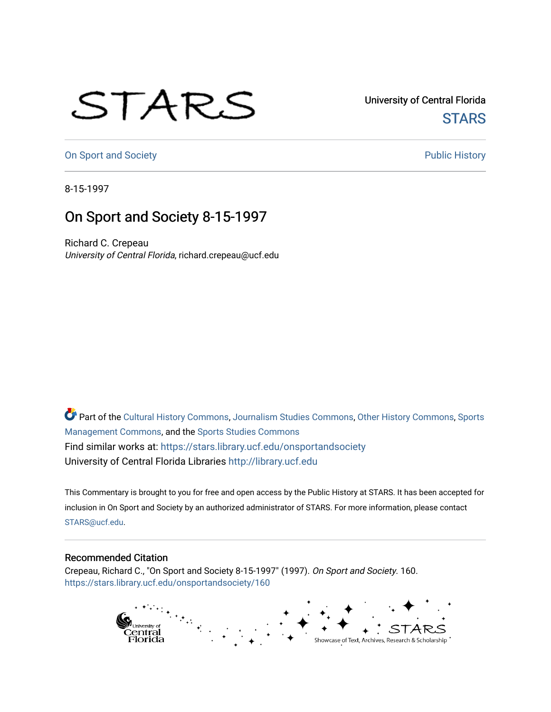## STARS

University of Central Florida **STARS** 

[On Sport and Society](https://stars.library.ucf.edu/onsportandsociety) **Public History** Public History

8-15-1997

## On Sport and Society 8-15-1997

Richard C. Crepeau University of Central Florida, richard.crepeau@ucf.edu

Part of the [Cultural History Commons](http://network.bepress.com/hgg/discipline/496?utm_source=stars.library.ucf.edu%2Fonsportandsociety%2F160&utm_medium=PDF&utm_campaign=PDFCoverPages), [Journalism Studies Commons,](http://network.bepress.com/hgg/discipline/333?utm_source=stars.library.ucf.edu%2Fonsportandsociety%2F160&utm_medium=PDF&utm_campaign=PDFCoverPages) [Other History Commons,](http://network.bepress.com/hgg/discipline/508?utm_source=stars.library.ucf.edu%2Fonsportandsociety%2F160&utm_medium=PDF&utm_campaign=PDFCoverPages) [Sports](http://network.bepress.com/hgg/discipline/1193?utm_source=stars.library.ucf.edu%2Fonsportandsociety%2F160&utm_medium=PDF&utm_campaign=PDFCoverPages) [Management Commons](http://network.bepress.com/hgg/discipline/1193?utm_source=stars.library.ucf.edu%2Fonsportandsociety%2F160&utm_medium=PDF&utm_campaign=PDFCoverPages), and the [Sports Studies Commons](http://network.bepress.com/hgg/discipline/1198?utm_source=stars.library.ucf.edu%2Fonsportandsociety%2F160&utm_medium=PDF&utm_campaign=PDFCoverPages) Find similar works at: <https://stars.library.ucf.edu/onsportandsociety> University of Central Florida Libraries [http://library.ucf.edu](http://library.ucf.edu/) 

This Commentary is brought to you for free and open access by the Public History at STARS. It has been accepted for inclusion in On Sport and Society by an authorized administrator of STARS. For more information, please contact [STARS@ucf.edu](mailto:STARS@ucf.edu).

## Recommended Citation

Crepeau, Richard C., "On Sport and Society 8-15-1997" (1997). On Sport and Society. 160. [https://stars.library.ucf.edu/onsportandsociety/160](https://stars.library.ucf.edu/onsportandsociety/160?utm_source=stars.library.ucf.edu%2Fonsportandsociety%2F160&utm_medium=PDF&utm_campaign=PDFCoverPages)

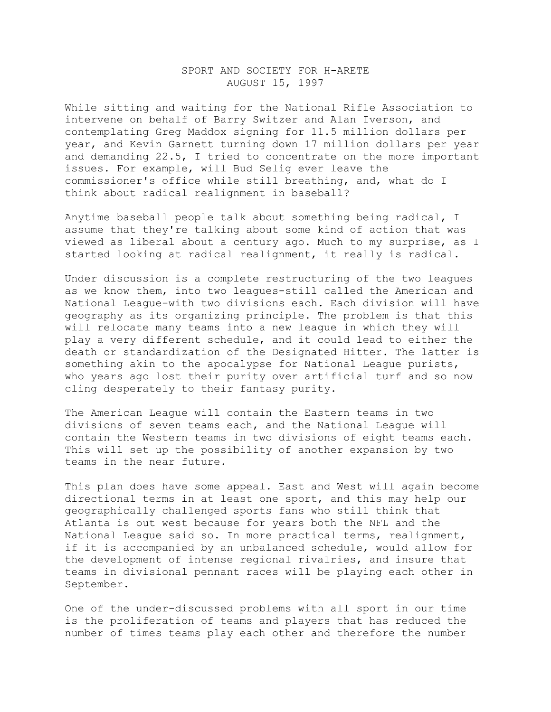## SPORT AND SOCIETY FOR H-ARETE AUGUST 15, 1997

While sitting and waiting for the National Rifle Association to intervene on behalf of Barry Switzer and Alan Iverson, and contemplating Greg Maddox signing for 11.5 million dollars per year, and Kevin Garnett turning down 17 million dollars per year and demanding 22.5, I tried to concentrate on the more important issues. For example, will Bud Selig ever leave the commissioner's office while still breathing, and, what do I think about radical realignment in baseball?

Anytime baseball people talk about something being radical, I assume that they're talking about some kind of action that was viewed as liberal about a century ago. Much to my surprise, as I started looking at radical realignment, it really is radical.

Under discussion is a complete restructuring of the two leagues as we know them, into two leagues-still called the American and National League-with two divisions each. Each division will have geography as its organizing principle. The problem is that this will relocate many teams into a new league in which they will play a very different schedule, and it could lead to either the death or standardization of the Designated Hitter. The latter is something akin to the apocalypse for National League purists, who years ago lost their purity over artificial turf and so now cling desperately to their fantasy purity.

The American League will contain the Eastern teams in two divisions of seven teams each, and the National League will contain the Western teams in two divisions of eight teams each. This will set up the possibility of another expansion by two teams in the near future.

This plan does have some appeal. East and West will again become directional terms in at least one sport, and this may help our geographically challenged sports fans who still think that Atlanta is out west because for years both the NFL and the National League said so. In more practical terms, realignment, if it is accompanied by an unbalanced schedule, would allow for the development of intense regional rivalries, and insure that teams in divisional pennant races will be playing each other in September.

One of the under-discussed problems with all sport in our time is the proliferation of teams and players that has reduced the number of times teams play each other and therefore the number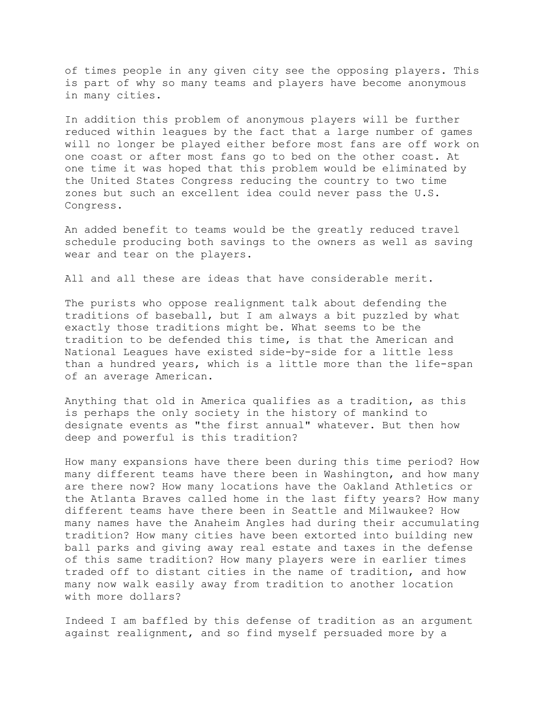of times people in any given city see the opposing players. This is part of why so many teams and players have become anonymous in many cities.

In addition this problem of anonymous players will be further reduced within leagues by the fact that a large number of games will no longer be played either before most fans are off work on one coast or after most fans go to bed on the other coast. At one time it was hoped that this problem would be eliminated by the United States Congress reducing the country to two time zones but such an excellent idea could never pass the U.S. Congress.

An added benefit to teams would be the greatly reduced travel schedule producing both savings to the owners as well as saving wear and tear on the players.

All and all these are ideas that have considerable merit.

The purists who oppose realignment talk about defending the traditions of baseball, but I am always a bit puzzled by what exactly those traditions might be. What seems to be the tradition to be defended this time, is that the American and National Leagues have existed side-by-side for a little less than a hundred years, which is a little more than the life-span of an average American.

Anything that old in America qualifies as a tradition, as this is perhaps the only society in the history of mankind to designate events as "the first annual" whatever. But then how deep and powerful is this tradition?

How many expansions have there been during this time period? How many different teams have there been in Washington, and how many are there now? How many locations have the Oakland Athletics or the Atlanta Braves called home in the last fifty years? How many different teams have there been in Seattle and Milwaukee? How many names have the Anaheim Angles had during their accumulating tradition? How many cities have been extorted into building new ball parks and giving away real estate and taxes in the defense of this same tradition? How many players were in earlier times traded off to distant cities in the name of tradition, and how many now walk easily away from tradition to another location with more dollars?

Indeed I am baffled by this defense of tradition as an argument against realignment, and so find myself persuaded more by a